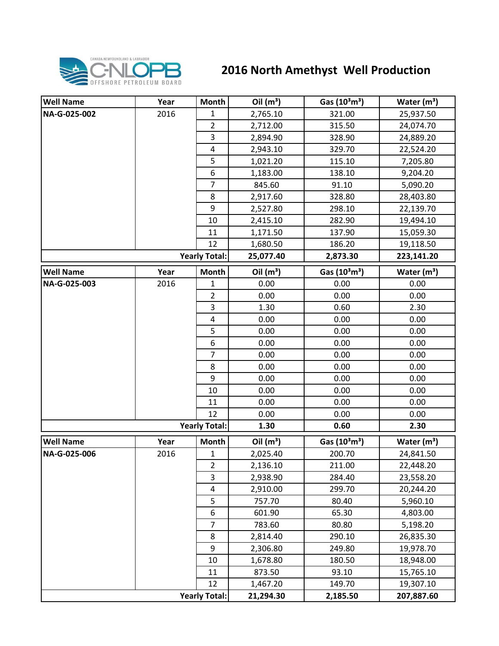

## **2016 North Amethyst Well Production**

| <b>Well Name</b>     | Year | Month                   | Oil $(m^3)$ | Gas $(10^3 \text{m}^3)$               | Water $(m^3)$ |
|----------------------|------|-------------------------|-------------|---------------------------------------|---------------|
| NA-G-025-002         | 2016 | $\mathbf{1}$            | 2,765.10    | 321.00                                | 25,937.50     |
|                      |      | $\overline{2}$          | 2,712.00    | 315.50                                | 24,074.70     |
|                      |      | 3                       | 2,894.90    | 328.90                                | 24,889.20     |
|                      |      | $\overline{\mathbf{4}}$ | 2,943.10    | 329.70                                | 22,524.20     |
|                      |      | 5                       | 1,021.20    | 115.10                                | 7,205.80      |
|                      |      | 6                       | 1,183.00    | 138.10                                | 9,204.20      |
|                      |      | $\overline{7}$          | 845.60      | 91.10                                 | 5,090.20      |
|                      |      | 8                       | 2,917.60    | 328.80                                | 28,403.80     |
|                      |      | 9                       | 2,527.80    | 298.10                                | 22,139.70     |
|                      |      | 10                      | 2,415.10    | 282.90                                | 19,494.10     |
|                      |      | 11                      | 1,171.50    | 137.90                                | 15,059.30     |
|                      |      | 12                      | 1,680.50    | 186.20                                | 19,118.50     |
|                      |      | <b>Yearly Total:</b>    | 25,077.40   | 2,873.30                              | 223,141.20    |
| <b>Well Name</b>     | Year | Month                   | Oil $(m^3)$ | Gas $(10^3 \text{m}^3)$               | Water $(m^3)$ |
| NA-G-025-003         | 2016 | $\mathbf{1}$            | 0.00        | 0.00                                  | 0.00          |
|                      |      | $\overline{2}$          | 0.00        | 0.00                                  | 0.00          |
|                      |      | 3                       | 1.30        | 0.60                                  | 2.30          |
|                      |      | $\overline{4}$          | 0.00        | 0.00                                  | 0.00          |
|                      |      | 5                       | 0.00        | 0.00                                  | 0.00          |
|                      |      | 6                       | 0.00        | 0.00                                  | 0.00          |
|                      |      | $\overline{7}$          | 0.00        | 0.00                                  | 0.00          |
|                      |      | 8                       | 0.00        | 0.00                                  | 0.00          |
|                      |      | 9                       | 0.00        | 0.00                                  | 0.00          |
|                      |      | 10                      | 0.00        | 0.00                                  | 0.00          |
|                      |      | 11                      | 0.00        | 0.00                                  | 0.00          |
|                      |      | 12                      | 0.00        | 0.00                                  | 0.00          |
|                      |      | <b>Yearly Total:</b>    | 1.30        | 0.60                                  | 2.30          |
| <b>Well Name</b>     | Year | <b>Month</b>            | Oil $(m^3)$ | Gas (10 <sup>3</sup> m <sup>3</sup> ) | Water $(m3)$  |
| NA-G-025-006         | 2016 | $\mathbf 1$             | 2,025.40    | 200.70                                | 24,841.50     |
|                      |      | $\overline{2}$          | 2,136.10    | 211.00                                | 22,448.20     |
|                      |      | 3                       | 2,938.90    | 284.40                                | 23,558.20     |
|                      |      | 4                       | 2,910.00    | 299.70                                | 20,244.20     |
|                      |      | 5                       | 757.70      | 80.40                                 | 5,960.10      |
|                      |      | 6                       | 601.90      | 65.30                                 | 4,803.00      |
|                      |      | $\overline{7}$          | 783.60      | 80.80                                 | 5,198.20      |
|                      |      | 8                       | 2,814.40    | 290.10                                | 26,835.30     |
|                      |      | 9                       | 2,306.80    | 249.80                                | 19,978.70     |
|                      |      | 10                      | 1,678.80    | 180.50                                | 18,948.00     |
|                      |      | 11                      | 873.50      | 93.10                                 | 15,765.10     |
|                      |      | 12                      | 1,467.20    | 149.70                                | 19,307.10     |
| <b>Yearly Total:</b> |      |                         | 21,294.30   | 2,185.50                              | 207,887.60    |